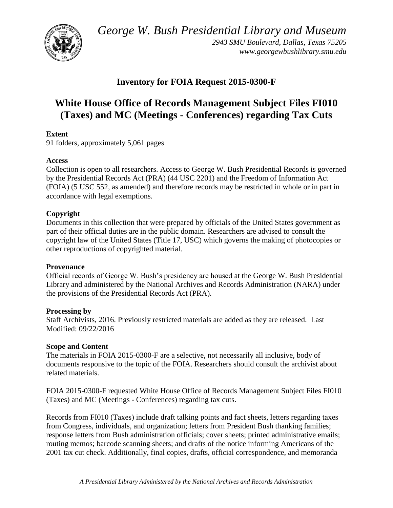*George W. Bush Presidential Library and Museum* 



*2943 SMU Boulevard, Dallas, Texas 75205 <www.georgewbushlibrary.smu.edu>*

# **Inventory for FOIA Request 2015-0300-F**

# **(Taxes) and MC (Meetings - Conferences) regarding Tax Cuts White House Office of Records Management Subject Files FI010**

# **Extent**

91 folders, approximately 5,061 pages

# **Access**

Collection is open to all researchers. Access to George W. Bush Presidential Records is governed by the Presidential Records Act (PRA) (44 USC 2201) and the Freedom of Information Act (FOIA) (5 USC 552, as amended) and therefore records may be restricted in whole or in part in accordance with legal exemptions.

# **Copyright**

Documents in this collection that were prepared by officials of the United States government as part of their official duties are in the public domain. Researchers are advised to consult the copyright law of the United States (Title 17, USC) which governs the making of photocopies or other reproductions of copyrighted material.

# **Provenance**

 Official records of George W. Bush's presidency are housed at the George W. Bush Presidential Library and administered by the National Archives and Records Administration (NARA) under the provisions of the Presidential Records Act (PRA).

# **Processing by**

 Staff Archivists, 2016. Previously restricted materials are added as they are released. Last Modified: 09/22/2016

# **Scope and Content**

 The materials in FOIA 2015-0300-F are a selective, not necessarily all inclusive, body of documents responsive to the topic of the FOIA. Researchers should consult the archivist about related materials.

 (Taxes) and MC (Meetings - Conferences) regarding tax cuts. FOIA 2015-0300-F requested White House Office of Records Management Subject Files FI010

 routing memos; barcode scanning sheets; and drafts of the notice informing Americans of the Records from FI010 (Taxes) include draft talking points and fact sheets, letters regarding taxes from Congress, individuals, and organization; letters from President Bush thanking families; response letters from Bush administration officials; cover sheets; printed administrative emails; 2001 tax cut check. Additionally, final copies, drafts, official correspondence, and memoranda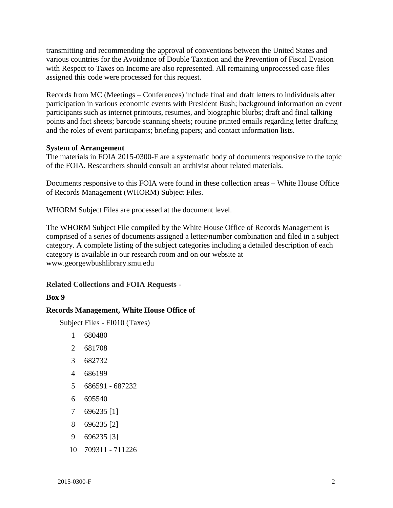transmitting and recommending the approval of conventions between the United States and various countries for the Avoidance of Double Taxation and the Prevention of Fiscal Evasion with Respect to Taxes on Income are also represented. All remaining unprocessed case files assigned this code were processed for this request.

 participation in various economic events with President Bush; background information on event points and fact sheets; barcode scanning sheets; routine printed emails regarding letter drafting Records from MC (Meetings – Conferences) include final and draft letters to individuals after participants such as internet printouts, resumes, and biographic blurbs; draft and final talking and the roles of event participants; briefing papers; and contact information lists.

#### **System of Arrangement**

The materials in FOIA 2015-0300-F are a systematic body of documents responsive to the topic of the FOIA. Researchers should consult an archivist about related materials.

Documents responsive to this FOIA were found in these collection areas – White House Office of Records Management (WHORM) Subject Files.

WHORM Subject Files are processed at the document level.

The WHORM Subject File compiled by the White House Office of Records Management is comprised of a series of documents assigned a letter/number combination and filed in a subject category. A complete listing of the subject categories including a detailed description of each category is available in our research room and on our website at <www.georgewbushlibrary.smu.edu>

# **Related Collections and FOIA Requests** -

#### **Box 9**

# **Records Management, White House Office of**

Subject Files - FI010 (Taxes)

- 1 680480
- 2 681708
- 3 682732
- 4 686199
- 5 686591 687232
- 6 695540
- 7 696235 [1]
- 8 696235 [2]
- 9 696235 [3]
- 10 709311 711226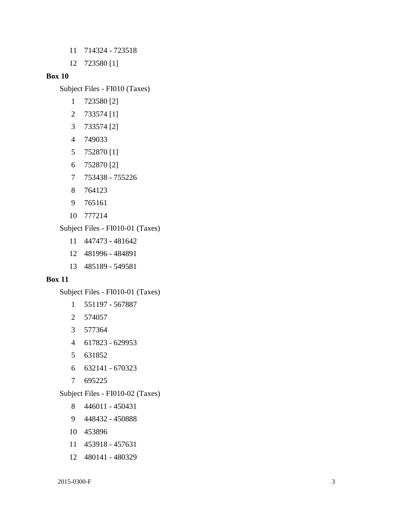- 11 714324 723518
- 12 723580 [1]

#### **Box 10**

Subject Files - FI010 (Taxes)

- 1 723580 [2]
- 2 733574 [1]
- 3 733574 [2]
- 4 749033
- 5 752870 [1]
- 6 752870 [2]
- 7 753438 755226
- 8 764123
- 9 765161
- 10 777214

Subject Files - FI010-01 (Taxes)

- 11 447473 481642
- 12 481996 484891
- 13 485189 549581

#### **Box 11**

Subject Files - FI010-01 (Taxes)

- 1 551197 567887
- 2 574057
- 3 577364
- 4 617823 629953
- 5 631852
- 6 632141 670323
- 7 695225

Subject Files - FI010-02 (Taxes)

- 8 446011 450431
- 9 448432 450888
- 10 453896
- 11 453918 457631
- 12 480141 480329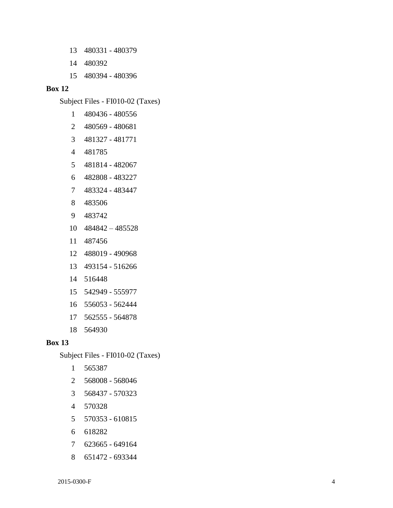- 13 480331 480379
- 14 480392
- 15 480394 480396

#### **Box 12**

Subject Files - FI010-02 (Taxes)

- 1 480436 480556
- 2 480569 480681
- 3 481327 481771
- 4 481785
- 5 481814 482067
- 6 482808 483227
- 7 483324 483447
- 8 483506
- 9 483742
- 10 484842 485528
- 11 487456
- 12 488019 490968
- 13 493154 516266
- 14 516448
- 15 542949 555977
- 16 556053 562444
- 17 562555 564878
- 18 564930

#### **Box 13**

Subject Files - FI010-02 (Taxes)

- 1 565387
- 2 568008 568046
- 3 568437 570323
- 4 570328
- 5 570353 610815
- 6 618282
- 7 623665 649164
- 8 651472 693344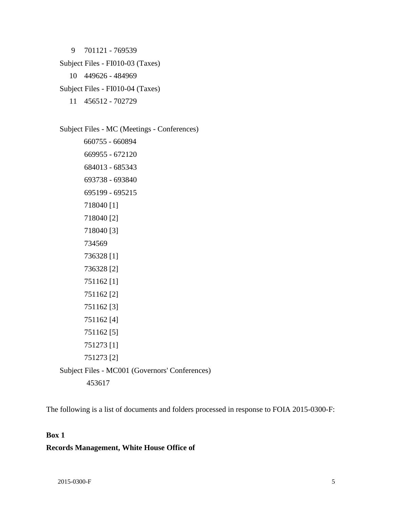9 701121 - 769539 Subject Files - FI010-03 (Taxes) 10 449626 - 484969 Subject Files - FI010-04 (Taxes) 11 456512 - 702729

Subject Files - MC (Meetings - Conferences) 660755 - 660894 669955 - 672120 684013 - 685343 693738 - 693840 695199 - 695215 718040 [1] 718040 [2] 718040 [3] 734569 736328 [1] 736328 [2] 751162 [1] 751162 [2] 751162 [3] 751162 [4] 751162 [5] 751273 [1] 751273 [2] Subject Files - MC001 (Governors' Conferences) 453617

The following is a list of documents and folders processed in response to FOIA 2015-0300-F:

# **Box 1**

#### **Records Management, White House Office of**